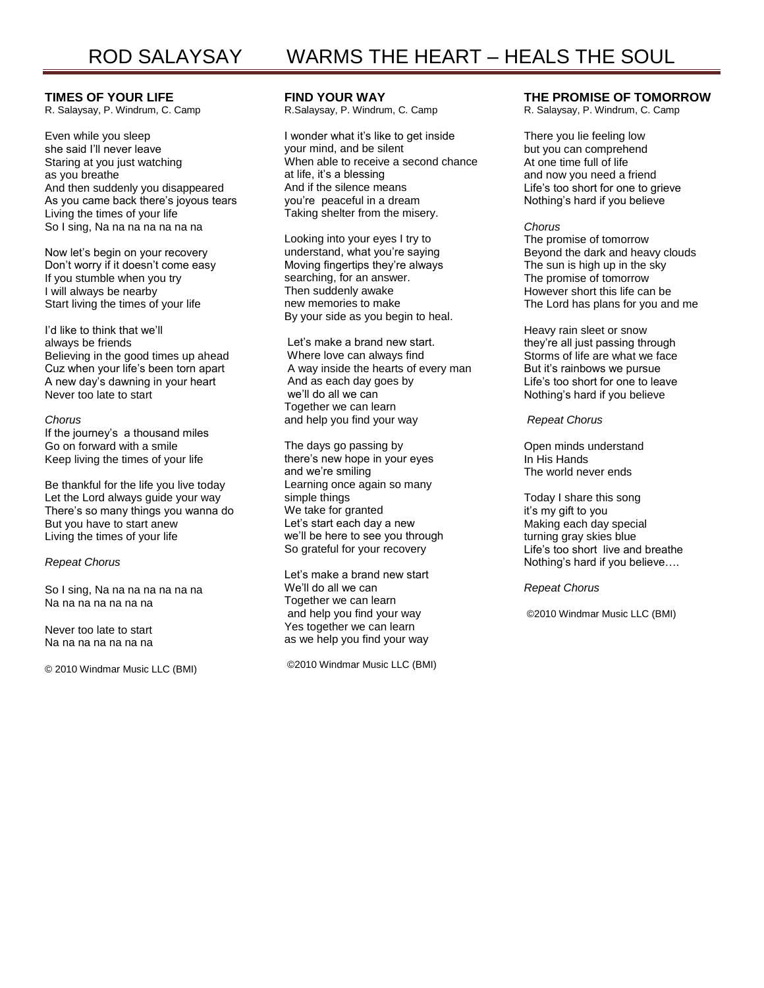# **TIMES OF YOUR LIFE**

R. Salaysay, P. Windrum, C. Camp

Even while you sleep she said I'll never leave Staring at you just watching as you breathe And then suddenly you disappeared As you came back there's joyous tears Living the times of your life So I sing, Na na na na na na na

Now let's begin on your recovery Don't worry if it doesn't come easy If you stumble when you try I will always be nearby Start living the times of your life

I'd like to think that we'll always be friends Believing in the good times up ahead Cuz when your life's been torn apart A new day's dawning in your heart Never too late to start

### *Chorus*

If the journey's a thousand miles Go on forward with a smile Keep living the times of your life

Be thankful for the life you live today Let the Lord always guide your way There's so many things you wanna do But you have to start anew Living the times of your life

### *Repeat Chorus*

So I sing, Na na na na na na na Na na na na na na na

Never too late to start Na na na na na na na

© 2010 Windmar Music LLC (BMI)

## **FIND YOUR WAY**

R.Salaysay, P. Windrum, C. Camp

I wonder what it's like to get inside your mind, and be silent When able to receive a second chance at life, it's a blessing And if the silence means you're peaceful in a dream Taking shelter from the misery.

Looking into your eyes I try to understand, what you're saying Moving fingertips they're always searching, for an answer. Then suddenly awake new memories to make By your side as you begin to heal.

Let's make a brand new start. Where love can always find A way inside the hearts of every man And as each day goes by we'll do all we can Together we can learn and help you find your way

The days go passing by there's new hope in your eyes and we're smiling Learning once again so many simple things We take for granted Let's start each day a new we'll be here to see you through So grateful for your recovery

Let's make a brand new start We'll do all we can Together we can learn and help you find your way Yes together we can learn as we help you find your way

©2010 Windmar Music LLC (BMI)

## **THE PROMISE OF TOMORROW**

R. Salaysay, P. Windrum, C. Camp

There you lie feeling low but you can comprehend At one time full of life and now you need a friend Life's too short for one to grieve Nothing's hard if you believe

### *Chorus*

The promise of tomorrow Beyond the dark and heavy clouds The sun is high up in the sky The promise of tomorrow However short this life can be The Lord has plans for you and me

Heavy rain sleet or snow they're all just passing through Storms of life are what we face But it's rainbows we pursue Life's too short for one to leave Nothing's hard if you believe

### *Repeat Chorus*

Open minds understand In His Hands The world never ends

Today I share this song it's my gift to you Making each day special turning gray skies blue Life's too short live and breathe Nothing's hard if you believe….

### *Repeat Chorus*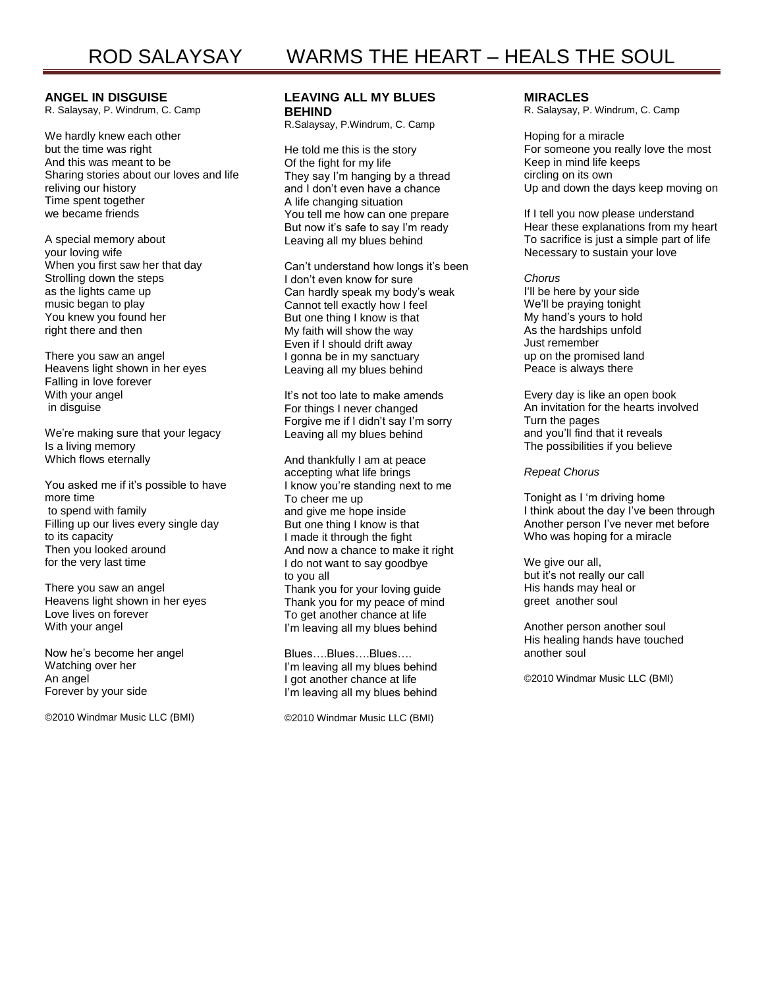## **ANGEL IN DISGUISE**

R. Salaysay, P. Windrum, C. Camp

We hardly knew each other but the time was right And this was meant to be Sharing stories about our loves and life reliving our history Time spent together we became friends

A special memory about your loving wife When you first saw her that day Strolling down the steps as the lights came up music began to play You knew you found her right there and then

There you saw an angel Heavens light shown in her eyes Falling in love forever With your angel in disguise

We're making sure that your legacy Is a living memory Which flows eternally

You asked me if it's possible to have more time to spend with family Filling up our lives every single day to its capacity Then you looked around for the very last time

There you saw an angel Heavens light shown in her eyes Love lives on forever With your angel

Now he's become her angel Watching over her An angel Forever by your side

©2010 Windmar Music LLC (BMI)

## **LEAVING ALL MY BLUES BEHIND**

R.Salaysay, P.Windrum, C. Camp

He told me this is the story Of the fight for my life They say I'm hanging by a thread and I don't even have a chance A life changing situation You tell me how can one prepare But now it's safe to say I'm ready Leaving all my blues behind

Can't understand how longs it's been I don't even know for sure Can hardly speak my body's weak Cannot tell exactly how I feel But one thing I know is that My faith will show the way Even if I should drift away I gonna be in my sanctuary Leaving all my blues behind

It's not too late to make amends For things I never changed Forgive me if I didn't say I'm sorry Leaving all my blues behind

And thankfully I am at peace accepting what life brings I know you're standing next to me To cheer me up and give me hope inside But one thing I know is that I made it through the fight And now a chance to make it right I do not want to say goodbye to you all Thank you for your loving guide Thank you for my peace of mind To get another chance at life I'm leaving all my blues behind

Blues….Blues….Blues…. I'm leaving all my blues behind I got another chance at life I'm leaving all my blues behind

©2010 Windmar Music LLC (BMI)

### **MIRACLES**

R. Salaysay, P. Windrum, C. Camp

Hoping for a miracle For someone you really love the most Keep in mind life keeps circling on its own Up and down the days keep moving on

If I tell you now please understand Hear these explanations from my heart To sacrifice is just a simple part of life Necessary to sustain your love

*Chorus* I'll be here by your side We'll be praying tonight My hand's yours to hold As the hardships unfold Just remember up on the promised land Peace is always there

Every day is like an open book An invitation for the hearts involved Turn the pages and you'll find that it reveals The possibilities if you believe

### *Repeat Chorus*

Tonight as I 'm driving home I think about the day I've been through Another person I've never met before Who was hoping for a miracle

We give our all, but it's not really our call His hands may heal or greet another soul

Another person another soul His healing hands have touched another soul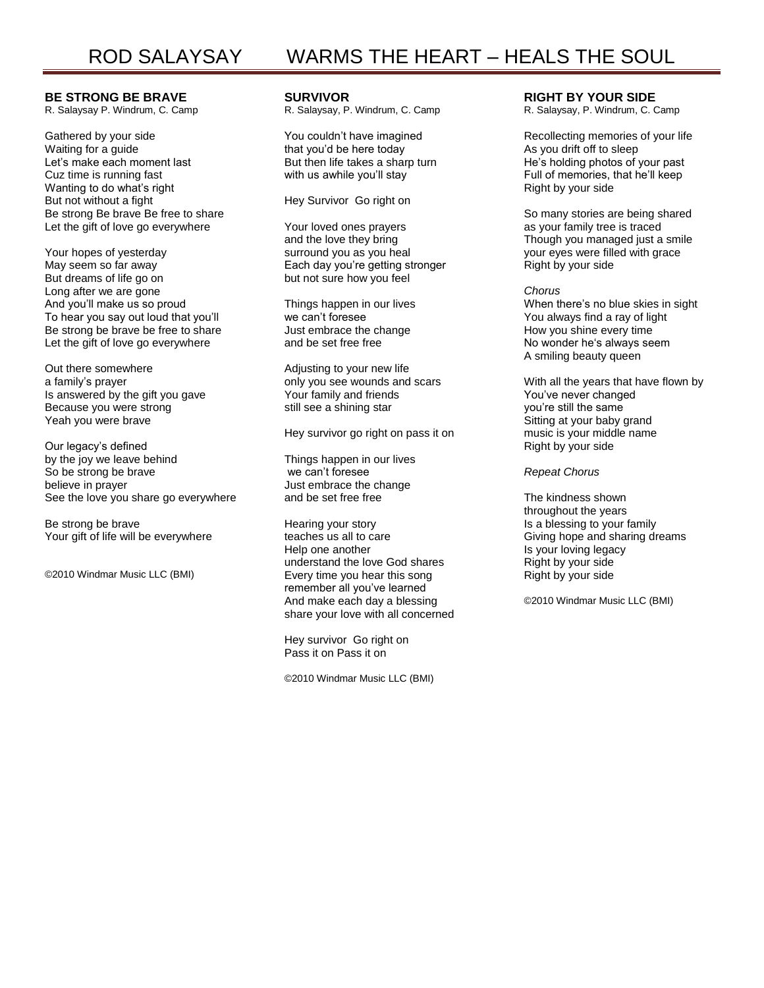## **BE STRONG BE BRAVE**

R. Salaysay P. Windrum, C. Camp

Gathered by your side Waiting for a guide Let's make each moment last Cuz time is running fast Wanting to do what's right But not without a fight Be strong Be brave Be free to share Let the gift of love go everywhere

Your hopes of yesterday May seem so far away But dreams of life go on Long after we are gone And you'll make us so proud To hear you say out loud that you'll Be strong be brave be free to share Let the gift of love go everywhere

Out there somewhere a family's prayer Is answered by the gift you gave Because you were strong Yeah you were brave

Our legacy's defined by the joy we leave behind So be strong be brave believe in prayer See the love you share go everywhere

Be strong be brave Your gift of life will be everywhere

©2010 Windmar Music LLC (BMI)

## **SURVIVOR**

R. Salaysay, P. Windrum, C. Camp

You couldn't have imagined that you'd be here today But then life takes a sharp turn with us awhile you'll stay

Hey Survivor Go right on

Your loved ones prayers and the love they bring surround you as you heal Each day you're getting stronger but not sure how you feel

Things happen in our lives we can't foresee Just embrace the change and be set free free

Adjusting to your new life only you see wounds and scars Your family and friends still see a shining star

Hey survivor go right on pass it on

Things happen in our lives we can't foresee Just embrace the change and be set free free

Hearing your story teaches us all to care Help one another understand the love God shares Every time you hear this song remember all you've learned And make each day a blessing share your love with all concerned

Hey survivor Go right on Pass it on Pass it on

©2010 Windmar Music LLC (BMI)

### **RIGHT BY YOUR SIDE**

R. Salaysay, P. Windrum, C. Camp

Recollecting memories of your life As you drift off to sleep He's holding photos of your past Full of memories, that he'll keep Right by your side

So many stories are being shared as your family tree is traced Though you managed just a smile your eyes were filled with grace Right by your side

### *Chorus*

When there's no blue skies in sight You always find a ray of light How you shine every time No wonder he's always seem A smiling beauty queen

With all the years that have flown by You've never changed you're still the same Sitting at your baby grand music is your middle name Right by your side

### *Repeat Chorus*

The kindness shown throughout the years Is a blessing to your family Giving hope and sharing dreams Is your loving legacy Right by your side Right by your side